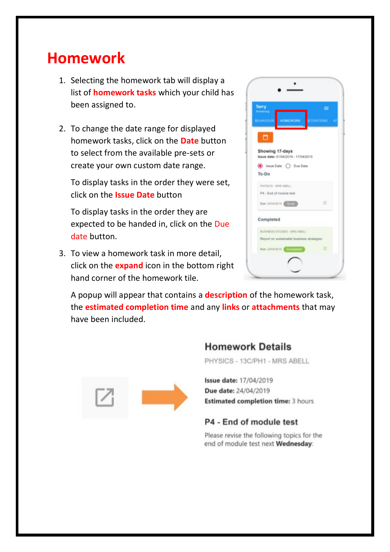## **Homework**

- 1. Selecting the homework tab will display a list of **homework tasks** which your child has been assigned to.
- 2. To change the date range for displayed homework tasks, click on the **Date** button to select from the available pre-sets or create your own custom date range.

To display tasks in the order they were set, click on the **Issue Date** button

To display tasks in the order they are expected to be handed in, click on the Due date button.

3. To view a homework task in more detail, click on the **expand** icon in the bottom right hand corner of the homework tile.



A popup will appear that contains a **description** of the homework task, the **estimated completion time** and any **links** or **attachments** that may have been included.



### **Homework Details**

PHYSICS - 13C/PH1 - MRS ABELL

Issue date: 17/04/2019 Due date: 24/04/2019 **Estimated completion time: 3 hours** 

### P4 - End of module test

Please revise the following topics for the end of module test next Wednesday: